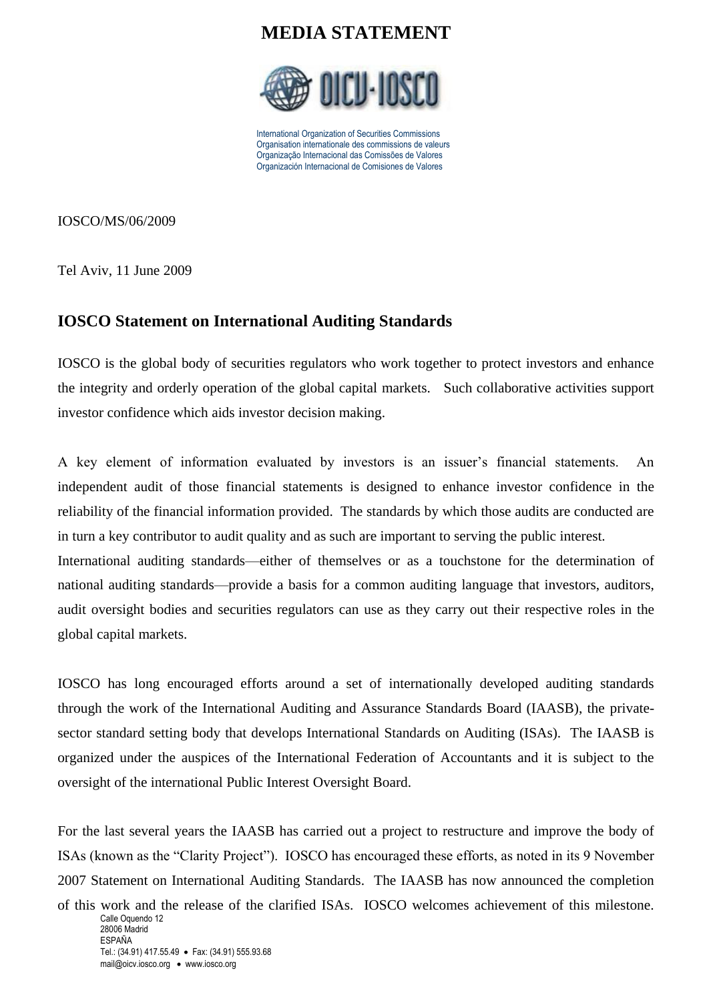## **MEDIA STATEMENT**



International Organization of Securities Commissions Organisation internationale des commissions de valeurs Organização Internacional das Comissões de Valores Organización Internacional de Comisiones de Valores

IOSCO/MS/06/2009

Tel Aviv, 11 June 2009

## **IOSCO Statement on International Auditing Standards**

IOSCO is the global body of securities regulators who work together to protect investors and enhance the integrity and orderly operation of the global capital markets. Such collaborative activities support investor confidence which aids investor decision making.

A key element of information evaluated by investors is an issuer's financial statements. An independent audit of those financial statements is designed to enhance investor confidence in the reliability of the financial information provided. The standards by which those audits are conducted are in turn a key contributor to audit quality and as such are important to serving the public interest. International auditing standards—either of themselves or as a touchstone for the determination of national auditing standards—provide a basis for a common auditing language that investors, auditors, audit oversight bodies and securities regulators can use as they carry out their respective roles in the global capital markets.

IOSCO has long encouraged efforts around a set of internationally developed auditing standards through the work of the International Auditing and Assurance Standards Board (IAASB), the privatesector standard setting body that develops International Standards on Auditing (ISAs). The IAASB is organized under the auspices of the International Federation of Accountants and it is subject to the oversight of the international Public Interest Oversight Board.

For the last several years the IAASB has carried out a project to restructure and improve the body of ISAs (known as the "Clarity Project"). IOSCO has encouraged these efforts, as noted in its 9 November 2007 Statement on International Auditing Standards. The IAASB has now announced the completion

Calle Oquendo 12 28006 Madrid ESPAÑA Tel.: (34.91) 417.55.49 • Fax: (34.91) 555.93.68 mail@oicv.iosco.org • www.iosco.org of this work and the release of the clarified ISAs. IOSCO welcomes achievement of this milestone.